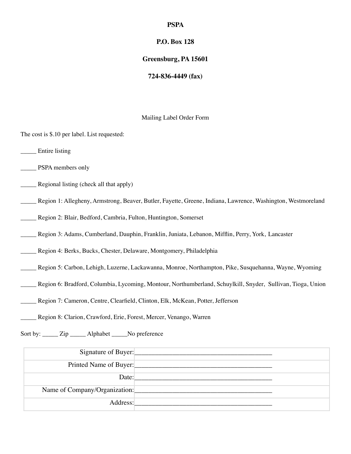#### **PSPA**

### **P.O. Box 128**

#### **Greensburg, PA 15601**

#### **724-836-4449 (fax)**

#### Mailing Label Order Form

The cost is \$.10 per label. List requested:

\_\_\_\_\_ Entire listing

- \_\_\_\_\_ PSPA members only
- **EXECUTE:** Regional listing (check all that apply)
- \_\_\_\_\_ Region 1: Allegheny, Armstrong, Beaver, Butler, Fayette, Greene, Indiana, Lawrence, Washington, Westmoreland
- \_\_\_\_\_ Region 2: Blair, Bedford, Cambria, Fulton, Huntington, Somerset
- \_\_\_\_\_ Region 3: Adams, Cumberland, Dauphin, Franklin, Juniata, Lebanon, Mifflin, Perry, York, Lancaster
- \_\_\_\_\_ Region 4: Berks, Bucks, Chester, Delaware, Montgomery, Philadelphia
- \_\_\_\_\_ Region 5: Carbon, Lehigh, Luzerne, Lackawanna, Monroe, Northampton, Pike, Susquehanna, Wayne, Wyoming
- \_\_\_\_\_ Region 6: Bradford, Columbia, Lycoming, Montour, Northumberland, Schuylkill, Snyder, Sullivan, Tioga, Union
- \_\_\_\_\_ Region 7: Cameron, Centre, Clearfield, Clinton, Elk, McKean, Potter, Jefferson
- \_\_\_\_\_ Region 8: Clarion, Crawford, Erie, Forest, Mercer, Venango, Warren

Sort by: \_\_\_\_\_ Zip \_\_\_\_\_ Alphabet \_\_\_\_\_No preference

| Signature of Buyer:           |  |
|-------------------------------|--|
| Printed Name of Buyer:        |  |
| Date:                         |  |
| Name of Company/Organization: |  |
| Address:                      |  |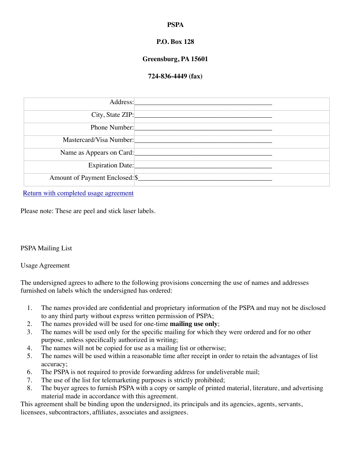# **PSPA**

# **P.O. Box 128**

# **Greensburg, PA 15601**

## **724-836-4449 (fax)**

| Address:                        |  |
|---------------------------------|--|
| City, State ZIP:                |  |
| Phone Number:                   |  |
| Mastercard/Visa Number:         |  |
| Name as Appears on Card:        |  |
| Expiration Date:                |  |
| Amount of Payment Enclosed: \$_ |  |

[Return with completed usage agreement](http://www.pspa.net/Forms/useage.html)

Please note: These are peel and stick laser labels.

### PSPA Mailing List

### Usage Agreement

The undersigned agrees to adhere to the following provisions concerning the use of names and addresses furnished on labels which the undersigned has ordered:

- 1. The names provided are confidential and proprietary information of the PSPA and may not be disclosed to any third party without express written permission of PSPA;
- 2. The names provided will be used for one-time **mailing use only**;
- 3. The names will be used only for the specific mailing for which they were ordered and for no other purpose, unless specifically authorized in writing;
- 4. The names will not be copied for use as a mailing list or otherwise;
- 5. The names will be used within a reasonable time after receipt in order to retain the advantages of list accuracy;
- 6. The PSPA is not required to provide forwarding address for undeliverable mail;
- 7. The use of the list for telemarketing purposes is strictly prohibited;
- 8. The buyer agrees to furnish PSPA with a copy or sample of printed material, literature, and advertising material made in accordance with this agreement.

This agreement shall be binding upon the undersigned, its principals and its agencies, agents, servants, licensees, subcontractors, affiliates, associates and assignees.